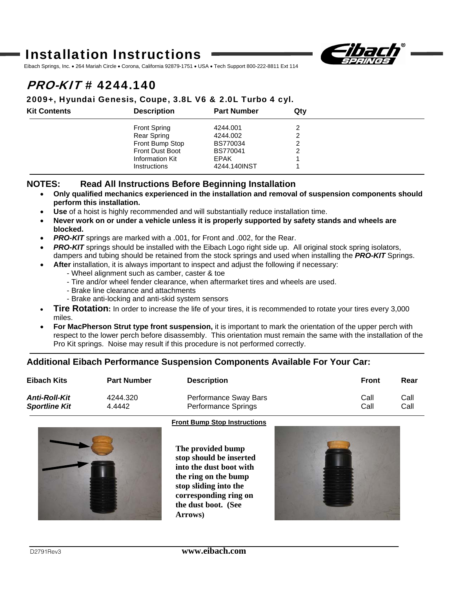## Installation Instructions



Eibach Springs, Inc. • 264 Mariah Circle • Corona, California 92879-1751 • USA • Tech Support 800-222-8811 Ext 114

# $PROKIT# 4244.140$

#### 2009+, Hyundai Genesis, Coupe, 3.8L V6 & 2.0L Turbo 4 cyl.

| <b>Kit Contents</b> | <b>Description</b>     | <b>Part Number</b> | Qty |  |
|---------------------|------------------------|--------------------|-----|--|
|                     | <b>Front Spring</b>    | 4244.001           |     |  |
|                     | Rear Spring            | 4244.002           |     |  |
|                     | Front Bump Stop        | BS770034           | ົ   |  |
|                     | <b>Front Dust Boot</b> | <b>BS770041</b>    |     |  |
|                     | Information Kit        | <b>EPAK</b>        |     |  |
|                     | Instructions           | 4244.140INST       |     |  |

### **NOTES: Read All Instructions Before Beginning Installation**

- **Only qualified mechanics experienced in the installation and removal of suspension components should perform this installation.**
- **Use** of a hoist is highly recommended and will substantially reduce installation time.
- **Never work on or under a vehicle unless it is properly supported by safety stands and wheels are blocked.**
- **PRO-KIT** springs are marked with a .001, for Front and .002, for the Rear.
- **PRO-KIT** springs should be installed with the Eibach Logo right side up. All original stock spring isolators, dampers and tubing should be retained from the stock springs and used when installing the *PRO-KIT* Springs.
- **After** installation, it is always important to inspect and adjust the following if necessary:
	- Wheel alignment such as camber, caster & toe
	- Tire and/or wheel fender clearance, when aftermarket tires and wheels are used.
	- Brake line clearance and attachments
	- Brake anti-locking and anti-skid system sensors
- **Tire Rotation:** In order to increase the life of your tires, it is recommended to rotate your tires every 3,000 miles.
- **For MacPherson Strut type front suspension,** it is important to mark the orientation of the upper perch with respect to the lower perch before disassembly. This orientation must remain the same with the installation of the Pro Kit springs. Noise may result if this procedure is not performed correctly.

### **Additional Eibach Performance Suspension Components Available For Your Car:**

| Eibach Kits          | <b>Part Number</b> | <b>Description</b>         | <b>Front</b> | Rear |
|----------------------|--------------------|----------------------------|--------------|------|
| Anti-Roll-Kit        | 4244.320           | Performance Sway Bars      | Call         | Call |
| <b>Sportline Kit</b> | 4.4442             | <b>Performance Springs</b> | Call         | Call |



#### **Front Bump Stop Instructions**

**The provided bump stop should be inserted into the dust boot with the ring on the bump stop sliding into the corresponding ring on the dust boot. (See Arrows)**